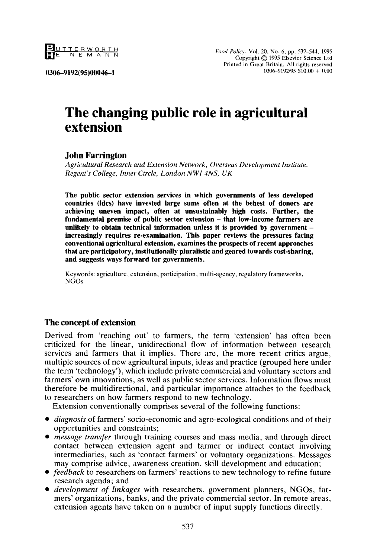

0306-9192(95)00046--1

# **The changing public role in agricultural extension**

## **John Farrington**

*Agricultural Research and Extension Network, Overseas Development Institute, Regent's College, Inner Circle, London NWI 4NS, UK* 

**The public sector extension services in which governments of less developed countries (idcs) have invested large sums often at the behest of donors are achieving uneven impact, often at unsustainably high costs. Further, the fundamental premise of public sector extension - that low-income farmers are unlikely to obtain technical information unless it is provided by government**  increasingly **requires re-examination. This paper reviews the pressures facing conventional agricultural extension, examines the prospects of recent approaches that are participatory, institutionally pluralistic and geared towards cost-sharing, and suggests ways forward for governments.** 

Keywords: agriculture, extension, participation, multi-agency, regulatory frameworks, NGOs

# **The concept of extension**

Derived from 'reaching out' to farmers, the term 'extension' has often been criticized for the linear, unidirectional flow of information between research services and farmers that it implies. There are, the more recent critics argue, multiple sources of new agricultural inputs, ideas and practice (grouped here under the term 'technology'), which include private commercial and voluntary sectors and farmers' own innovations, as well as public sector services. Information flows must therefore be multidirectional, and particular importance attaches to the feedback to researchers on how farmers respond to new technology.

Extension conventionally comprises several of the following functions:

- *diagnosis* of farmers' socio-economic and agro-ecological conditions and of their opportunities and constraints;
- *message transfer* through training courses and mass media, and through direct contact between extension agent and farmer or indirect contact involving intermediaries, such as 'contact farmers' or voluntary organizations. Messages may comprise advice, awareness creation, skill development and education;
- *feedback* to researchers on farmers' reactions to new technology to refine future research agenda; and
- *development of linkages* with researchers, government planners, NGOs, farmers' organizations, banks, and the private commercial sector. In remote areas, extension agents have taken on a number of input supply functions directly.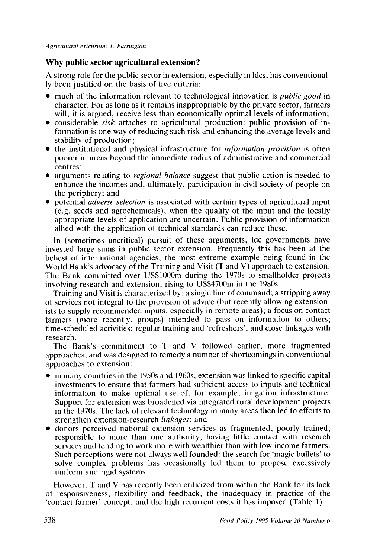# **Why public sector agricultural extension?**

A strong role for the public sector in extension, especially in ldcs, has conventionally been justified on the basis of five criteria:

- much of the information relevant to technological innovation is *public good* in character. For as long as it remains inappropriable by the private sector, farmers will, it is argued, receive less than economically optimal levels of information;
- considerable *risk* attaches to agricultural production: public provision of information is one way of reducing such risk and enhancing the average levels and stability of production;
- the institutional and physical infrastructure for *information provision* is often poorer in areas beyond the immediate radius of administrative and commercial centres;
- arguments relating to *regional balance* suggest that public action is needed to enhance the incomes and, ultimately, participation in civil society of people on the periphery; and
- potential *adverse selection* is associated with certain types of agricultural input (e.g. seeds and agrochemicals), when the quality of the input and the locally appropriate levels of application are uncertain. Public provision of information allied with the application of technical standards can reduce these.

In (sometimes uncritical) pursuit of these arguments, ldc governments have invested large sums in public sector extension. Frequently this has been at the behest of international agencies, the most extreme example being found in the World Bank's advocacy of the Training and Visit (T and V) approach to extension. The Bank committed over US\$1000m during the 1970s to smallholder projects involving research and extension, rising to US\$4700m in the 1980s.

Training and Visit is characterized by: a single line of command; a stripping away of services not integral to the provision of advice (but recently allowing extensionists to supply recommended inputs, especially in remote areas); a focus on contact farmers (more recently, groups) intended to pass on information to others; time-scheduled activities; regular training and 'refreshers', and close linkages with research.

The Bank's commitment to T and V followed earlier, more fragmented approaches, and was designed to remedy a number of shortcomings in conventional approaches to extension:

- in many countries in the 1950s and 1960s, extension was linked to specific capital investments to ensure that farmers had sufficient access to inputs and technical information to make optimal use of, for example, irrigation infrastructure. Support for extension was broadened via integrated rural development projects in the 1970s. The lack of relevant technology in many areas then led to efforts to strengthen extension-research *linkages;* and
- donors perceived national extension services as fragmented, poorly trained, responsible to more than one authority, having little contact with research services and tending to work more with wealthier than with low-income farmers. Such perceptions were not always well founded: the search for 'magic bullets' to solve complex problems has occasionally led them to propose excessively uniform and rigid systems.

However, T and V has recently been criticized from within the Bank for its lack of responsiveness, flexibility and feedback, the inadequacy in practice of the 'contact farmer' concept, and the high recurrent costs it has imposed (Table 1).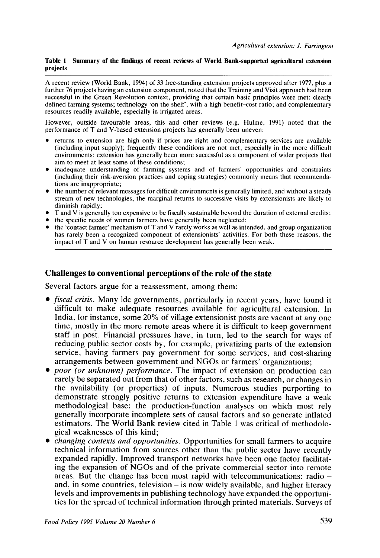#### **Table 1 Summary of the findings of recent reviews of World Bank-supported agricultural extension projects**

A recent review (World Bank, 1994) of 33 free-standing extension **projects approved after 1977, plus** a **further 76 projects having** an extension component, noted **that the** Training and **Visit approach had** been **successful in the Green Revolution context, providing that certain basic** principles were met: clearly defined **farming systems;** technology 'on the shelf', with a high benefit-cost ratio; and **complementary resources** readily available, especially in **irrigated areas.** 

However, **outside favourable areas, this and other reviews** (e.g. Hulme, 1991) noted that the **performance of** T and V-based extension **projects has** generally been uneven:

- **returns to extension are high only if prices are right and complementary services are available**  (including input supply); frequently **these conditions are not** met, especially in **the more difficult environments; extension has** generally been **more successful as a component of wider projects that aim to meet at least some of these conditions;**
- inadequate understanding **of farming systems and of farmers" opportunities and constraints**  (including **their risk-aversion practices and coping strategies) commonly means that recommendations are inappropriate;**
- the number of relevant **messages for difficult environments is** generally limited, and without a steady **stream of new technologies, the marginal returns to successive visits by extensionists are likely to diminish** rapidly;
- T and V is generally too expensive to be fiscally sustainable beyond **the duration of external credits;**
- **the specific needs of women farmers have** generally been neglected;
- **the 'contact farmer' mechanism of** T and V rarely **works as well as** intended, and **group organization has** rarely been a recognized **component of extensionists' activities. For both these reasons,** the **impact of** T and V on **human resource development has** generally been **weak.**

# **Challenges to conventional perceptions of the role of the state**

**Several factors argue for a reassessment, among them:** 

- *fiscal crisis.* **Many ldc governments, particularly in recent years, have found it difficult to make adequate resources available for agricultural extension. In India, for instance, some 20% of village extensionist posts are vacant at any one time, mostly in the more remote areas where it is difficult to keep government staff in post. Financial pressures have, in turn, led to the search for ways of reducing public sector costs by, for example, privatizing parts of the extension service, having farmers pay government for some services, and cost-sharing arrangements between government and NGOs or farmers' organizations;**
- *poor (or unknown) performance.* **The impact of extension on production can rarely be separated out from that of other factors, such as research, or changes in the availability (or properties) of inputs. Numerous studies purporting to demonstrate strongly positive returns to extension expenditure have a weak methodological base: the production-function analyses on which most rely generally incorporate incomplete sets of causal factors and so generate inflated estimators. The World Bank review cited in Table 1 was critical of methodological weaknesses of this kind;**
- *changing contexts and opportunities.* **Opportunities for small farmers to acquire technical information from sources other than the public sector have recently expanded rapidly. Improved transport networks have been one factor facilitating the expansion of NGOs and of the private commercial sector into remote areas. But the change has been most rapid with telecommunications: radio and, in some countries, television - is now widely available, and higher literacy levels and improvements in publishing technology have expanded the opportunities for the spread of technical information through printed materials. Surveys of**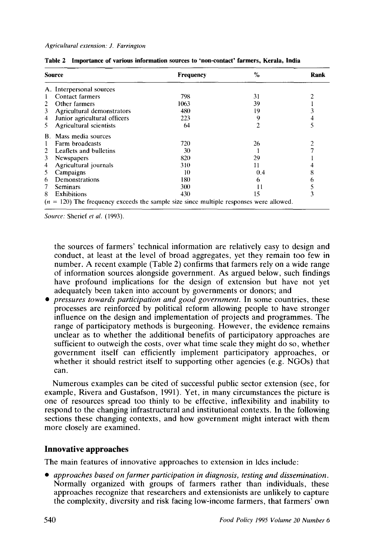#### *Agricultural extension: J. Farrington*

| Source |                                                                                          | <b>Frequency</b> | $\frac{9}{0}$ | Rank |  |
|--------|------------------------------------------------------------------------------------------|------------------|---------------|------|--|
|        | A. Interpersonal sources                                                                 |                  |               |      |  |
|        | Contact farmers                                                                          | 798              | 31            |      |  |
|        | Other farmers                                                                            | 1063             | 39            |      |  |
| 3      | Agricultural demonstrators                                                               | 480              | 19            |      |  |
| 4      | Junior agricultural officers                                                             | 223              | 9             |      |  |
| 5      | Agricultural scientists                                                                  | 64               | 2             |      |  |
|        | <b>B.</b> Mass media sources                                                             |                  |               |      |  |
|        | Farm broadcasts                                                                          | 720              | 26            |      |  |
| 2      | Leaflets and bulletins                                                                   | 30               |               |      |  |
| 3      | <b>Newspapers</b>                                                                        | 820              | 29            |      |  |
| 4      | Agricultural journals                                                                    | 310              |               |      |  |
| 5      | Campaigns                                                                                | 10               | 0.4           | 8    |  |
| 6      | Demonstrations                                                                           | 180              | 6             | o    |  |
|        | <b>Seminars</b>                                                                          | 300              | 11            |      |  |
| 8      | <b>Exhibitions</b>                                                                       | 430              | 15            | 3    |  |
|        | $(n = 120)$ The frequency exceeds the sample size since multiple responses were allowed. |                  |               |      |  |

|  | Table 2 Importance of various information sources to 'non-contact' farmers, Kerala, India |  |  |  |  |  |  |  |
|--|-------------------------------------------------------------------------------------------|--|--|--|--|--|--|--|
|--|-------------------------------------------------------------------------------------------|--|--|--|--|--|--|--|

*Source:* Sherief *et al.* (1993).

the sources of farmers' technical information are relatively easy to design and conduct, at least at the level of broad aggregates, yet they remain too few in number. A recent example (Table 2) confirms that farmers rely on a wide range of information sources alongside government. As argued below, such findings have profound implications for the design of extension but have not yet adequately been taken into account by governments or donors; and

*• pressures towards participation and good government.* In some countries, these processes are reinforced by political reform allowing people to have stronger influence on the design and implementation of projects and programmes. The range of participatory methods is burgeoning. However, the evidence remains unclear as to whether the additional benefits of participatory approaches are sufficient to outweigh the costs, over what time scale they might do so, whether government itself can efficiently implement participatory approaches, or whether it should restrict itself to supporting other agencies (e.g. NGOs) that can.

Numerous examples can be cited of successful public sector extension (see, for example, Rivera and Gustafson, 1991). Yet, in many circumstances the picture is one of resources spread too thinly to be effective, inflexibility and inability to respond to the changing infrastructural and institutional contexts. In the following sections these changing contexts, and how government might interact with them more closely are examined.

## **Innovative approaches**

The main features of innovative approaches to extension in ldcs include:

*• approaches based on farmer participation in diagnosis, testing and dissemination.*  Normally organized with groups of farmers rather than individuals, these approaches recognize that researchers and extensionists are unlikely to capture the complexity, diversity and risk facing low-income farmers, that farmers' own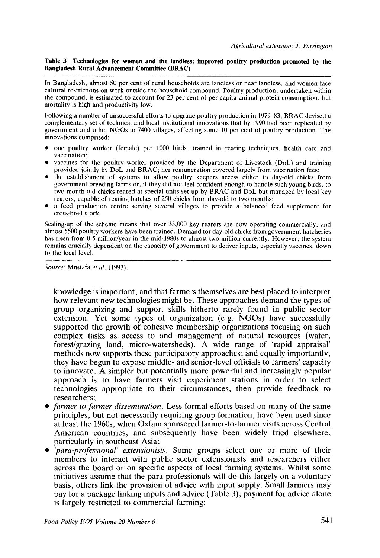#### **Table 3 Technologies for women and the landless: improved poultry production promoted by the Bangladesh Rural Advancement Committee (BRAC)**

In **Bangladesh, almost 50 per** cent of rural households are landless or near landless, and **women face**  cultural restrictions on work **outside the** household compound. Poultry production, undertaken **within the compound, is estimated** to account for 23 per cent of **per capita animal protein** consumption, but **mortality is high** and productivity low.

Following a number of unsuccessful efforts to upgrade poultry production in 1979-83, BRAC devised a **complementary set of technical** and local institutional innovations that by 1990 had been replicated by **government and other** NGOs in 7400 **villages, affecting some 10 per** cent of poultry production. **The**  innovations **comprised:** 

- one poultry **worker (female) per** 1000 birds, trained in **rearing techniques, health care** and vaccination;
- vaccines **for the poultry worker** provided by **the Department** of Livestock (DoL) and **training**  provided jointly by DoL and BRAC; **her remuneration covered largely from vaccination fees;**
- **the establishment of systems** to allow poultry **keepers access either** to day-old chicks **from government breeding farms or, if they** did not feel confident enough to handle such young birds, to two-month-old chicks **reared at special units set** up by BRAC and DoL but managed by local key **rearers, capable of rearing batches** of 250 chicks from day-old to **two months;**
- a feed production **centre serving several villages to provide** a balanced **feed supplement for**  cross-bred stock.

Scaling-up of **the scheme means that** over 33,000 key **rearers are now operating** commercially, and **almost** 5500 poultry **workers have been trained. Demand for** day-old chicks **from government hatcheries has risen from** 0.5 million/year in the mid-1980s to **almost two** million currently. However, **the system remains crucially dependent on the capacity of government** to deliver **inputs, especially** vaccines, down to the local level.

*Source:* Mustafa *et al.* (1993).

**knowledge is important, and that farmers themselves are best placed to interpret how relevant new technologies might be. These approaches demand the types of group organizing and support skills hitherto rarely found in public sector extension. Yet some types of organization (e.g. NGOs) have successfully supported the growth of cohesive membership organizations focusing on such complex tasks as access to and management of natural resources (water, forest/grazing land, micro-watersheds). A wide range of 'rapid appraisal' methods now supports these participatory approaches; and equally importantly, they have begun to expose middle- and senior-level officials to farmers' capacity to innovate. A simpler but potentially more powerful and increasingly popular approach is to have farmers visit experiment stations in order to select technologies appropriate to their circumstances, then provide feedback to researchers;** 

- *farmer-to-farmer dissemination.* **Less formal efforts based on many of the same principles, but not necessarily requiring group formation, have been used since at least the 1960s, when Oxfam sponsored farmer-to-farmer visits across Central American countries, and subsequently have been widely tried elsewhere, particularly in southeast Asia;**
- *'para-professional' extensionists.* **Some groups select one or more of their members to interact with public sector extensionists and researchers either across the board or on specific aspects of local farming systems. Whilst some initiatives assume that the para-professionals will do this largely on a voluntary basis, others link the provision of advice with input supply. Small farmers may pay for a package linking inputs and advice (Table 3); payment for advice alone is largely restricted to commercial farming;**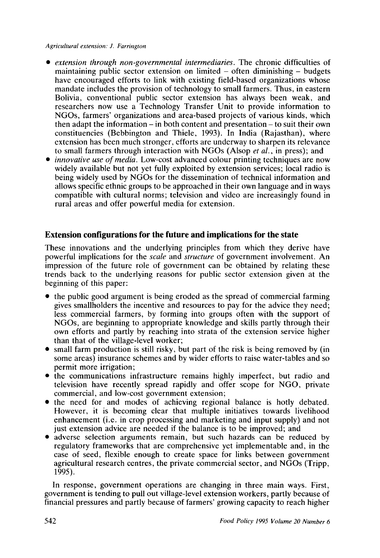### *Agricultural extension: J. Farrington*

- *extension through non-governmental intermediaries.* The chronic difficulties of maintaining public sector extension on limited  $-$  often diminishing  $-$  budgets have encouraged efforts to link with existing field-based organizations whose mandate includes the provision of technology to small farmers. Thus, in eastern Bolivia, conventional public sector extension has always been weak, and researchers now use a Technology Transfer Unit to provide information to NGOs, farmers' organizations and area-based projects of various kinds, which then adapt the information  $-\text{ in}$  both content and presentation  $-\text{ to}$  suit their own constituencies (Bebbington and Thiele, 1993). In India (Rajasthan), where extension has been much stronger, efforts are underway to sharpen its relevance to small farmers through interaction with NGOs (Alsop *et al.,* in press); and
- *innovative use of media.* Low-cost advanced colour printing techniques are now widely available but not yet fully exploited by extension services; local radio is being widely used by NGOs for the dissemination of technical information and allows specific ethnic groups to be approached in their own language and in ways compatible with cultural norms; television and video are increasingly found in rural areas and offer powerful media for extension.

# **Extension configurations for the future and implications for the state**

These innovations and the underlying principles from which they derive have powerful implications for the *scale* and *structure* of government involvement. An impression of the future role of government can be obtained by relating these trends back to the underlying reasons for public sector extension given at the beginning of this paper:

- the public good argument is being eroded as the spread of commercial farming gives smallholders the incentive and resources to pay for the advice they need; less commercial farmers, by forming into groups often with the support of NGOs, are beginning to appropriate knowledge and skills partly through their own efforts and partly by reaching into strata of the extension service higher than that of the village-level worker;
- small farm production is still risky, but part of the risk is being removed by (in some areas) insurance schemes and by wider efforts to raise water-tables and so permit more irrigation;
- the communications infrastructure remains highly imperfect, but radio and television have recently spread rapidly and offer scope for NGO, private commercial, and low-cost government extension;
- the need for and modes of achieving regional balance is hotly debated. However, it is becoming clear that multiple initiatives towards livelihood enhancement (i.e. in crop processing and marketing and input supply) and not just extension advice are needed if the balance is to be improved; and
- adverse selection arguments remain, but such hazards can be reduced by regulatory frameworks that are comprehensive yet implementable and, in the case of seed, flexible enough to create space for links between government agricultural research centres, the private commercial sector, and NGOs (Tripp, 1995).

In response, government operations are changing in three main ways. First, government is tending to pull out village-level extension workers, partly because of financial pressures and partly because of farmers' growing capacity to reach higher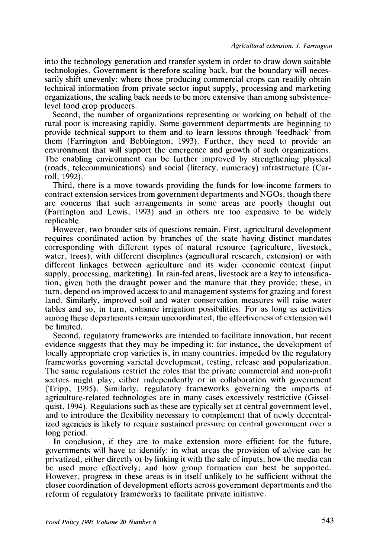into the technology generation and transfer system in order to draw down suitable technologies. Government is therefore scaling back, but the boundary will necessarily shift unevenly: where those producing commercial crops can readily obtain technical information from private sector input supply, processing and marketing organizations, the scaling back needs to be more extensive than among subsistencelevel food crop producers.

Second, the number of organizations representing or working on behalf of the rural poor is increasing rapidly. Some government departments are beginning to provide technical support to them and to learn lessons through 'feedback' from them (Farrington and Bebbington, 1993). Further, they need to provide an environment that will support the emergence and growth of such organizations. The enabling environment can be further improved by strengthening physical (roads, telecommunications) and social (literacy, numeracy) infrastructure (Carroll, 1992).

Third, there is a move towards providing the funds for low-income farmers to contract extension services from government departments and NGOs, though there are concerns that such arrangements in some areas are poorly thought out (Farrington and Lewis, 1993) and in others are too expensive to be widely replicable.

However, two broader sets of questions remain. First, agricultural development requires coordinated action by branches of the state having distinct mandates corresponding with different types of natural resource (agriculture, livestock, water, trees), with different disciplines (agricultural research, extension) or with different linkages between agriculture and its wider economic context (input supply, processing, marketing). In rain-fed areas, livestock are a key to intensification, given both the draught power and the manure that they provide; these, in turn, depend on improved access to and management systems for grazing and forest land. Similarly, improved soil and water conservation measures will raise water tables and so, in turn, enhance irrigation possibilities. For as long as activities among these departments remain uncoordinated, the effectiveness of extension will be limited.

Second, regulatory frameworks are intended to facilitate innovation, but recent evidence suggests that they may be impeding it: for instance, the development of locally appropriate crop varieties is, in many countries, impeded by the regulatory frameworks governing varietal development, testing, release and popularization. The same regulations restrict the roles that the private commercial and non-profit sectors might play, either independently or in collaboration with government (Tripp, 1995). Similarly, regulatory frameworks governing the imports of agriculture-related technologies are in many cases excessively restrictive (Gisselquist, 1994). Regulations such as these are typically set at central government level, and to introduce the flexibility necessary to complement that of newly decentralized agencies is likely to require sustained pressure on central government over a long period.

In conclusion, if they are to make extension more efficient for the future, governments will have to identify: in what areas the provision of advice can be privatized, either directly or by linking it with the sale of inputs; how the media can be used more effectively; and how group formation can best be supported. However, progress in these areas is in itself unlikely to be sufficient without the closer coordination of development efforts across government departments and the reform of regulatory frameworks to facilitate private initiative.